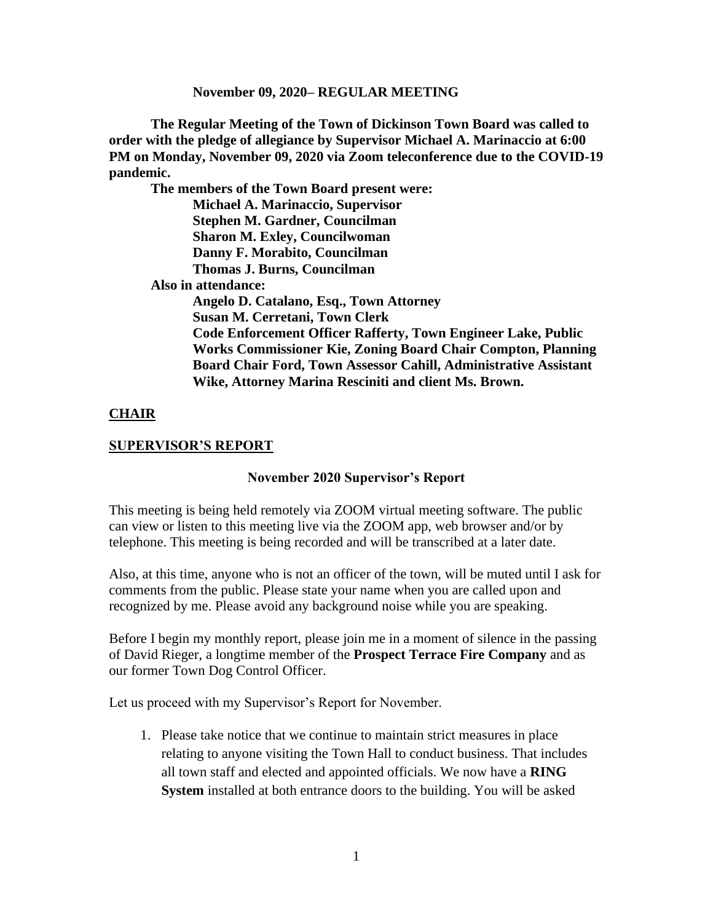**The Regular Meeting of the Town of Dickinson Town Board was called to order with the pledge of allegiance by Supervisor Michael A. Marinaccio at 6:00 PM on Monday, November 09, 2020 via Zoom teleconference due to the COVID-19 pandemic.**

**The members of the Town Board present were:**

**Michael A. Marinaccio, Supervisor Stephen M. Gardner, Councilman Sharon M. Exley, Councilwoman Danny F. Morabito, Councilman Thomas J. Burns, Councilman**

 **Also in attendance:**

**Angelo D. Catalano, Esq., Town Attorney Susan M. Cerretani, Town Clerk Code Enforcement Officer Rafferty, Town Engineer Lake, Public Works Commissioner Kie, Zoning Board Chair Compton, Planning Board Chair Ford, Town Assessor Cahill, Administrative Assistant Wike, Attorney Marina Resciniti and client Ms. Brown.**

# **CHAIR**

## **SUPERVISOR'S REPORT**

### **November 2020 Supervisor's Report**

This meeting is being held remotely via ZOOM virtual meeting software. The public can view or listen to this meeting live via the ZOOM app, web browser and/or by telephone. This meeting is being recorded and will be transcribed at a later date.

Also, at this time, anyone who is not an officer of the town, will be muted until I ask for comments from the public. Please state your name when you are called upon and recognized by me. Please avoid any background noise while you are speaking.

Before I begin my monthly report, please join me in a moment of silence in the passing of David Rieger, a longtime member of the **Prospect Terrace Fire Company** and as our former Town Dog Control Officer.

Let us proceed with my Supervisor's Report for November.

1. Please take notice that we continue to maintain strict measures in place relating to anyone visiting the Town Hall to conduct business. That includes all town staff and elected and appointed officials. We now have a **RING System** installed at both entrance doors to the building. You will be asked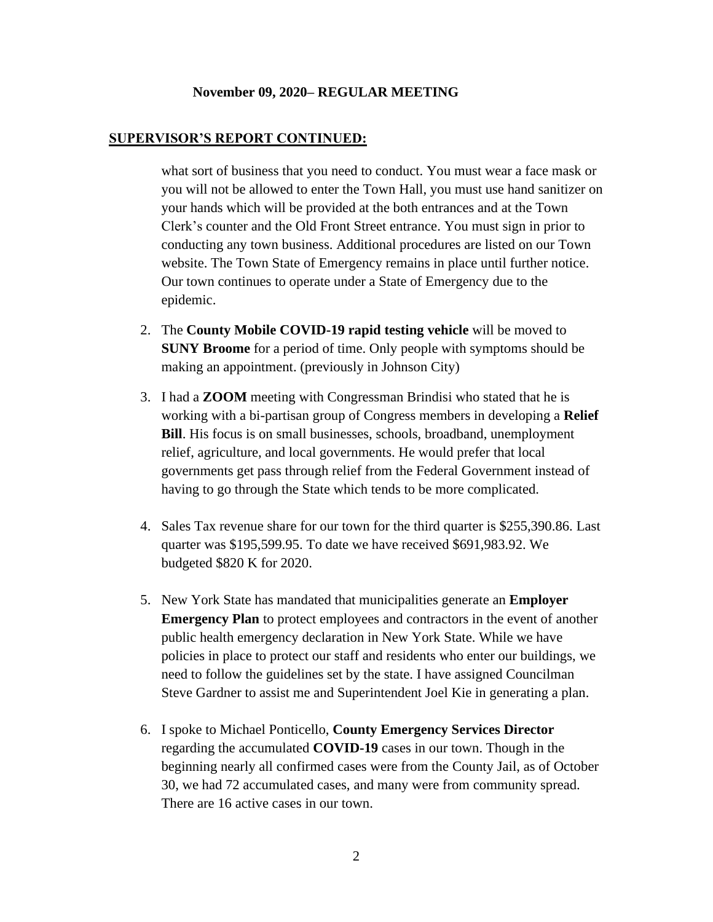#### **SUPERVISOR'S REPORT CONTINUED:**

what sort of business that you need to conduct. You must wear a face mask or you will not be allowed to enter the Town Hall, you must use hand sanitizer on your hands which will be provided at the both entrances and at the Town Clerk's counter and the Old Front Street entrance. You must sign in prior to conducting any town business. Additional procedures are listed on our Town website. The Town State of Emergency remains in place until further notice. Our town continues to operate under a State of Emergency due to the epidemic.

- 2. The **County Mobile COVID-19 rapid testing vehicle** will be moved to **SUNY Broome** for a period of time. Only people with symptoms should be making an appointment. (previously in Johnson City)
- 3. I had a **ZOOM** meeting with Congressman Brindisi who stated that he is working with a bi-partisan group of Congress members in developing a **Relief Bill**. His focus is on small businesses, schools, broadband, unemployment relief, agriculture, and local governments. He would prefer that local governments get pass through relief from the Federal Government instead of having to go through the State which tends to be more complicated.
- 4. Sales Tax revenue share for our town for the third quarter is \$255,390.86. Last quarter was \$195,599.95. To date we have received \$691,983.92. We budgeted \$820 K for 2020.
- 5. New York State has mandated that municipalities generate an **Employer Emergency Plan** to protect employees and contractors in the event of another public health emergency declaration in New York State. While we have policies in place to protect our staff and residents who enter our buildings, we need to follow the guidelines set by the state. I have assigned Councilman Steve Gardner to assist me and Superintendent Joel Kie in generating a plan.
- 6. I spoke to Michael Ponticello, **County Emergency Services Director** regarding the accumulated **COVID-19** cases in our town. Though in the beginning nearly all confirmed cases were from the County Jail, as of October 30, we had 72 accumulated cases, and many were from community spread. There are 16 active cases in our town.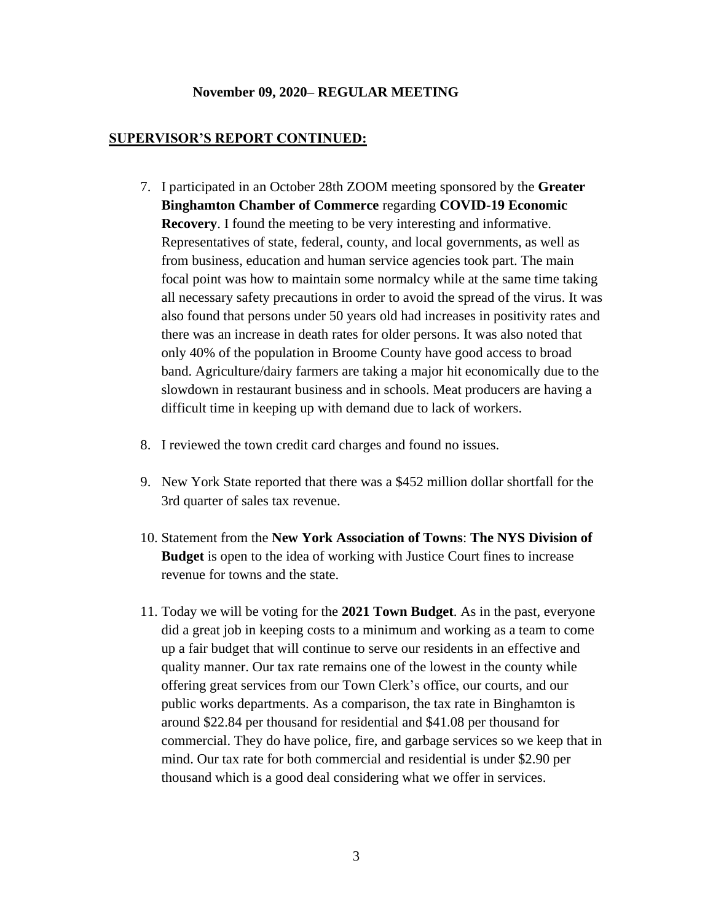### **SUPERVISOR'S REPORT CONTINUED:**

- 7. I participated in an October 28th ZOOM meeting sponsored by the **Greater Binghamton Chamber of Commerce** regarding **COVID-19 Economic Recovery**. I found the meeting to be very interesting and informative. Representatives of state, federal, county, and local governments, as well as from business, education and human service agencies took part. The main focal point was how to maintain some normalcy while at the same time taking all necessary safety precautions in order to avoid the spread of the virus. It was also found that persons under 50 years old had increases in positivity rates and there was an increase in death rates for older persons. It was also noted that only 40% of the population in Broome County have good access to broad band. Agriculture/dairy farmers are taking a major hit economically due to the slowdown in restaurant business and in schools. Meat producers are having a difficult time in keeping up with demand due to lack of workers.
- 8. I reviewed the town credit card charges and found no issues.
- 9. New York State reported that there was a \$452 million dollar shortfall for the 3rd quarter of sales tax revenue.
- 10. Statement from the **New York Association of Towns**: **The NYS Division of Budget** is open to the idea of working with Justice Court fines to increase revenue for towns and the state.
- 11. Today we will be voting for the **2021 Town Budget**. As in the past, everyone did a great job in keeping costs to a minimum and working as a team to come up a fair budget that will continue to serve our residents in an effective and quality manner. Our tax rate remains one of the lowest in the county while offering great services from our Town Clerk's office, our courts, and our public works departments. As a comparison, the tax rate in Binghamton is around \$22.84 per thousand for residential and \$41.08 per thousand for commercial. They do have police, fire, and garbage services so we keep that in mind. Our tax rate for both commercial and residential is under \$2.90 per thousand which is a good deal considering what we offer in services.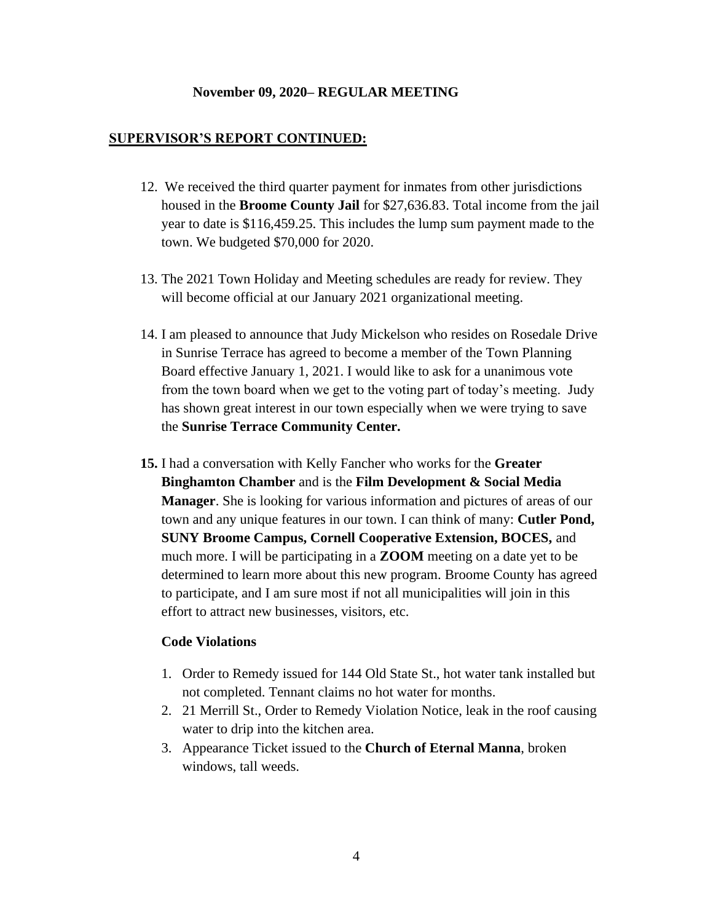#### **SUPERVISOR'S REPORT CONTINUED:**

- 12. We received the third quarter payment for inmates from other jurisdictions housed in the **Broome County Jail** for \$27,636.83. Total income from the jail year to date is \$116,459.25. This includes the lump sum payment made to the town. We budgeted \$70,000 for 2020.
- 13. The 2021 Town Holiday and Meeting schedules are ready for review. They will become official at our January 2021 organizational meeting.
- 14. I am pleased to announce that Judy Mickelson who resides on Rosedale Drive in Sunrise Terrace has agreed to become a member of the Town Planning Board effective January 1, 2021. I would like to ask for a unanimous vote from the town board when we get to the voting part of today's meeting. Judy has shown great interest in our town especially when we were trying to save the **Sunrise Terrace Community Center.**
- **15.** I had a conversation with Kelly Fancher who works for the **Greater Binghamton Chamber** and is the **Film Development & Social Media Manager**. She is looking for various information and pictures of areas of our town and any unique features in our town. I can think of many: **Cutler Pond, SUNY Broome Campus, Cornell Cooperative Extension, BOCES,** and much more. I will be participating in a **ZOOM** meeting on a date yet to be determined to learn more about this new program. Broome County has agreed to participate, and I am sure most if not all municipalities will join in this effort to attract new businesses, visitors, etc.

### **Code Violations**

- 1. Order to Remedy issued for 144 Old State St., hot water tank installed but not completed. Tennant claims no hot water for months.
- 2. 21 Merrill St., Order to Remedy Violation Notice, leak in the roof causing water to drip into the kitchen area.
- 3. Appearance Ticket issued to the **Church of Eternal Manna**, broken windows, tall weeds.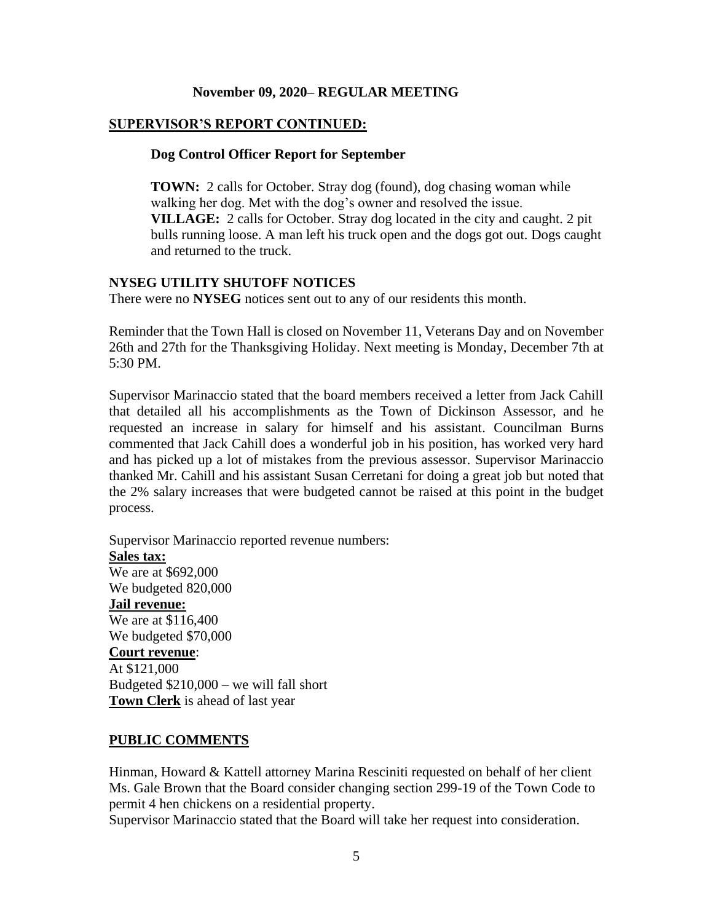## **SUPERVISOR'S REPORT CONTINUED:**

#### **Dog Control Officer Report for September**

**TOWN:** 2 calls for October. Stray dog (found), dog chasing woman while walking her dog. Met with the dog's owner and resolved the issue. **VILLAGE:** 2 calls for October. Stray dog located in the city and caught. 2 pit bulls running loose. A man left his truck open and the dogs got out. Dogs caught and returned to the truck.

### **NYSEG UTILITY SHUTOFF NOTICES**

There were no **NYSEG** notices sent out to any of our residents this month.

Reminder that the Town Hall is closed on November 11, Veterans Day and on November 26th and 27th for the Thanksgiving Holiday. Next meeting is Monday, December 7th at 5:30 PM.

Supervisor Marinaccio stated that the board members received a letter from Jack Cahill that detailed all his accomplishments as the Town of Dickinson Assessor, and he requested an increase in salary for himself and his assistant. Councilman Burns commented that Jack Cahill does a wonderful job in his position, has worked very hard and has picked up a lot of mistakes from the previous assessor. Supervisor Marinaccio thanked Mr. Cahill and his assistant Susan Cerretani for doing a great job but noted that the 2% salary increases that were budgeted cannot be raised at this point in the budget process.

Supervisor Marinaccio reported revenue numbers: **Sales tax:** We are at \$692,000 We budgeted 820,000 **Jail revenue:** We are at \$116,400 We budgeted \$70,000 **Court revenue**: At \$121,000 Budgeted \$210,000 – we will fall short **Town Clerk** is ahead of last year

### **PUBLIC COMMENTS**

Hinman, Howard & Kattell attorney Marina Resciniti requested on behalf of her client Ms. Gale Brown that the Board consider changing section 299-19 of the Town Code to permit 4 hen chickens on a residential property.

Supervisor Marinaccio stated that the Board will take her request into consideration.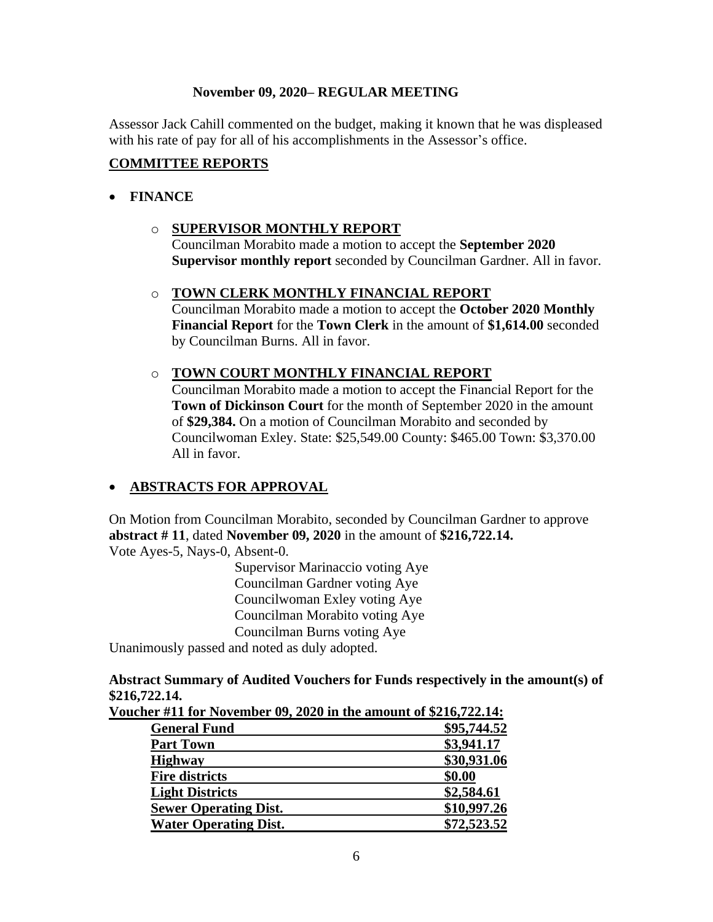Assessor Jack Cahill commented on the budget, making it known that he was displeased with his rate of pay for all of his accomplishments in the Assessor's office.

# **COMMITTEE REPORTS**

## • **FINANCE**

# o **SUPERVISOR MONTHLY REPORT**

Councilman Morabito made a motion to accept the **September 2020 Supervisor monthly report** seconded by Councilman Gardner. All in favor.

# o **TOWN CLERK MONTHLY FINANCIAL REPORT**

Councilman Morabito made a motion to accept the **October 2020 Monthly Financial Report** for the **Town Clerk** in the amount of **\$1,614.00** seconded by Councilman Burns. All in favor.

## o **TOWN COURT MONTHLY FINANCIAL REPORT**

Councilman Morabito made a motion to accept the Financial Report for the **Town of Dickinson Court** for the month of September 2020 in the amount of **\$29,384.** On a motion of Councilman Morabito and seconded by Councilwoman Exley. State: \$25,549.00 County: \$465.00 Town: \$3,370.00 All in favor.

# • **ABSTRACTS FOR APPROVAL**

On Motion from Councilman Morabito, seconded by Councilman Gardner to approve **abstract # 11**, dated **November 09, 2020** in the amount of **\$216,722.14.** Vote Ayes-5, Nays-0, Absent-0.

Supervisor Marinaccio voting Aye Councilman Gardner voting Aye Councilwoman Exley voting Aye Councilman Morabito voting Aye Councilman Burns voting Aye

Unanimously passed and noted as duly adopted.

## **Abstract Summary of Audited Vouchers for Funds respectively in the amount(s) of \$216,722.14.**

| 9410, 744.17.                                                    |             |
|------------------------------------------------------------------|-------------|
| Voucher #11 for November 09, 2020 in the amount of \$216,722.14: |             |
| <b>General Fund</b>                                              | \$95,744.52 |
| <b>Part Town</b>                                                 | \$3,941.17  |
| <b>Highway</b>                                                   | \$30,931.06 |
| <b>Fire districts</b>                                            | \$0.00      |
| <b>Light Districts</b>                                           | \$2,584.61  |
| <b>Sewer Operating Dist.</b>                                     | \$10,997.26 |
| <b>Water Operating Dist.</b>                                     | \$72,523.52 |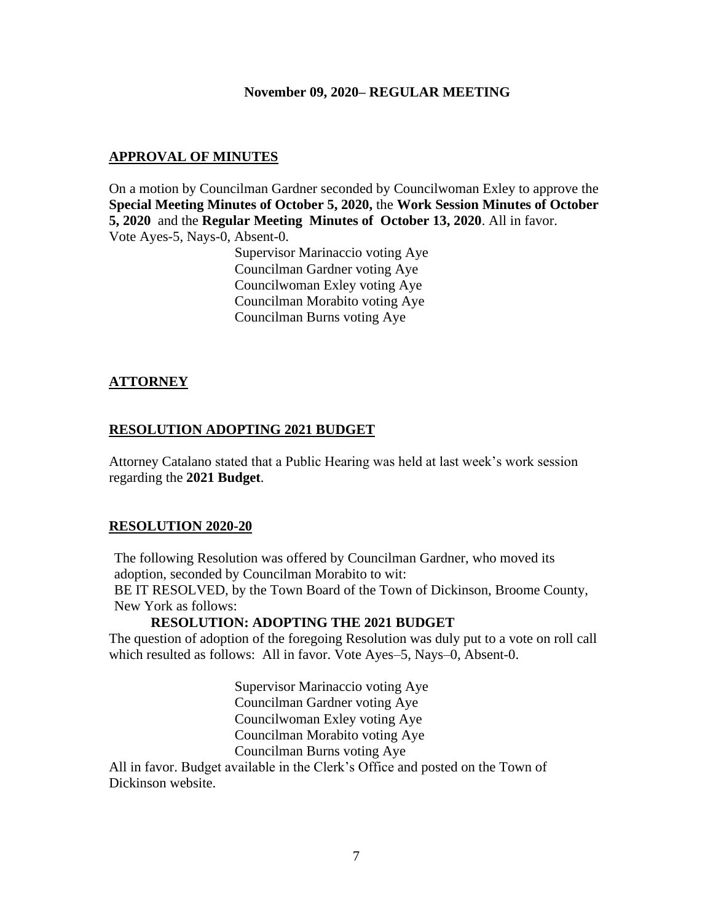# **APPROVAL OF MINUTES**

On a motion by Councilman Gardner seconded by Councilwoman Exley to approve the **Special Meeting Minutes of October 5, 2020,** the **Work Session Minutes of October 5, 2020** and the **Regular Meeting Minutes of October 13, 2020**. All in favor.

Vote Ayes-5, Nays-0, Absent-0.

Supervisor Marinaccio voting Aye Councilman Gardner voting Aye Councilwoman Exley voting Aye Councilman Morabito voting Aye Councilman Burns voting Aye

# **ATTORNEY**

# **RESOLUTION ADOPTING 2021 BUDGET**

Attorney Catalano stated that a Public Hearing was held at last week's work session regarding the **2021 Budget**.

## **RESOLUTION 2020-20**

The following Resolution was offered by Councilman Gardner, who moved its adoption, seconded by Councilman Morabito to wit: BE IT RESOLVED, by the Town Board of the Town of Dickinson, Broome County, New York as follows:

# **RESOLUTION: ADOPTING THE 2021 BUDGET**

The question of adoption of the foregoing Resolution was duly put to a vote on roll call which resulted as follows: All in favor. Vote Ayes–5, Nays–0, Absent-0.

> Supervisor Marinaccio voting Aye Councilman Gardner voting Aye Councilwoman Exley voting Aye Councilman Morabito voting Aye Councilman Burns voting Aye

All in favor. Budget available in the Clerk's Office and posted on the Town of Dickinson website.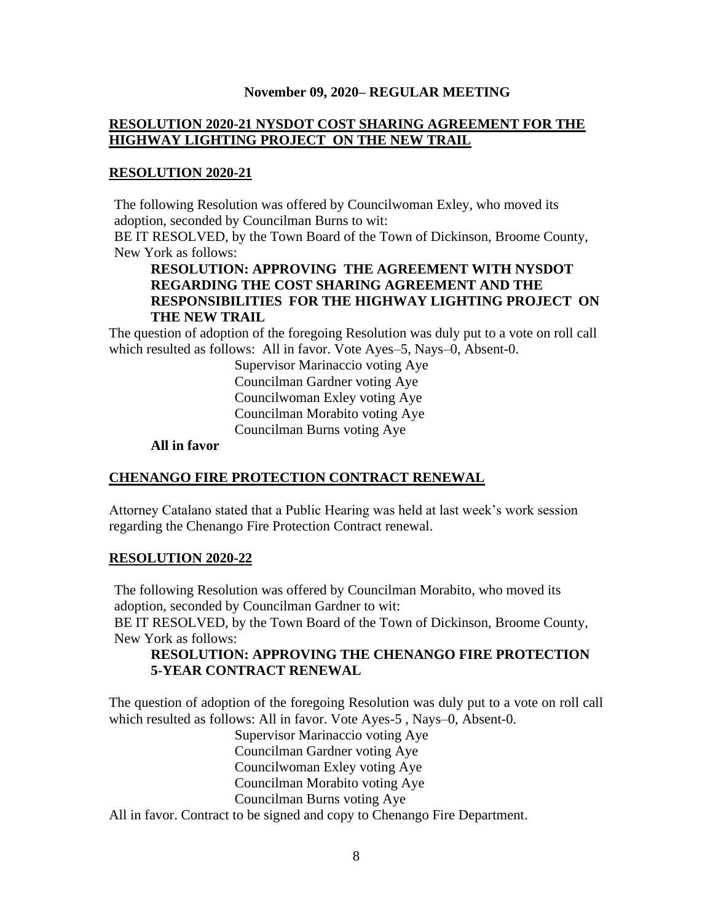# **RESOLUTION 2020-21 NYSDOT COST SHARING AGREEMENT FOR THE HIGHWAY LIGHTING PROJECT ON THE NEW TRAIL**

### **RESOLUTION 2020-21**

The following Resolution was offered by Councilwoman Exley, who moved its adoption, seconded by Councilman Burns to wit:

BE IT RESOLVED, by the Town Board of the Town of Dickinson, Broome County, New York as follows:

# **RESOLUTION: APPROVING THE AGREEMENT WITH NYSDOT REGARDING THE COST SHARING AGREEMENT AND THE RESPONSIBILITIES FOR THE HIGHWAY LIGHTING PROJECT ON THE NEW TRAIL**

The question of adoption of the foregoing Resolution was duly put to a vote on roll call which resulted as follows: All in favor. Vote Ayes–5, Nays–0, Absent-0.

> Supervisor Marinaccio voting Aye Councilman Gardner voting Aye Councilwoman Exley voting Aye Councilman Morabito voting Aye Councilman Burns voting Aye

### **All in favor**

## **CHENANGO FIRE PROTECTION CONTRACT RENEWAL**

Attorney Catalano stated that a Public Hearing was held at last week's work session regarding the Chenango Fire Protection Contract renewal.

### **RESOLUTION 2020-22**

The following Resolution was offered by Councilman Morabito, who moved its adoption, seconded by Councilman Gardner to wit: BE IT RESOLVED, by the Town Board of the Town of Dickinson, Broome County, New York as follows:

# **RESOLUTION: APPROVING THE CHENANGO FIRE PROTECTION 5-YEAR CONTRACT RENEWAL**

The question of adoption of the foregoing Resolution was duly put to a vote on roll call which resulted as follows: All in favor. Vote Ayes-5 , Nays–0, Absent-0.

Supervisor Marinaccio voting Aye Councilman Gardner voting Aye Councilwoman Exley voting Aye Councilman Morabito voting Aye Councilman Burns voting Aye All in favor. Contract to be signed and copy to Chenango Fire Department.